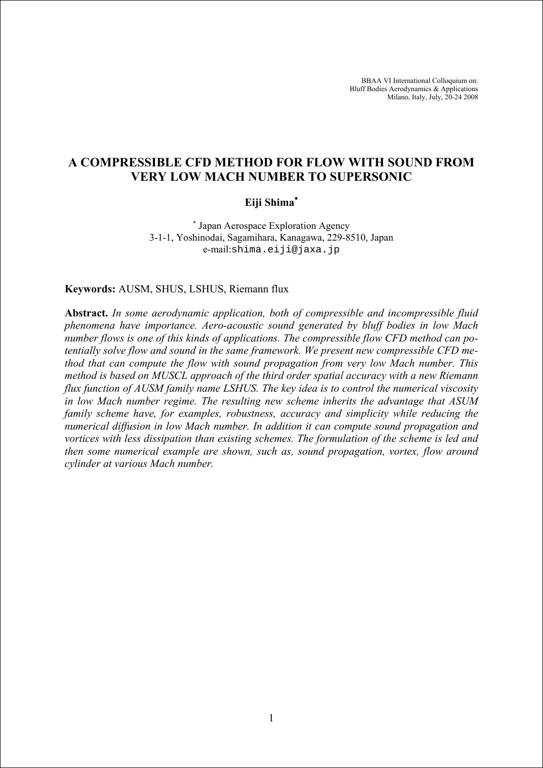BBAA VI International Colloquium on: Bluff Bodies Aerodynamics & Applications Milano, Italy, July, 20-24 2008

# **A COMPRESSIBLE CFD METHOD FOR FLOW WITH SOUND FROM VERY LOW MACH NUMBER TO SUPERSONIC**

# **Eiji Shima**<sup>∗</sup>

∗ Japan Aerospace Exploration Agency 3-1-1, Yoshinodai, Sagamihara, Kanagawa, 229-8510, Japan e-mail:shima.eiji@jaxa.jp

**Keywords:** AUSM, SHUS, LSHUS, Riemann flux

**Abstract.** *In some aerodynamic application, both of compressible and incompressible fluid phenomena have importance. Aero-acoustic sound generated by bluff bodies in low Mach number flows is one of this kinds of applications. The compressible flow CFD method can potentially solve flow and sound in the same framework. We present new compressible CFD method that can compute the flow with sound propagation from very low Mach number. This method is based on MUSCL approach of the third order spatial accuracy with a new Riemann flux function of AUSM family name LSHUS. The key idea is to control the numerical viscosity in low Mach number regime. The resulting new scheme inherits the advantage that ASUM family scheme have, for examples, robustness, accuracy and simplicity while reducing the numerical diffusion in low Mach number. In addition it can compute sound propagation and vortices with less dissipation than existing schemes. The formulation of the scheme is led and then some numerical example are shown, such as, sound propagation, vortex, flow around cylinder at various Mach number.*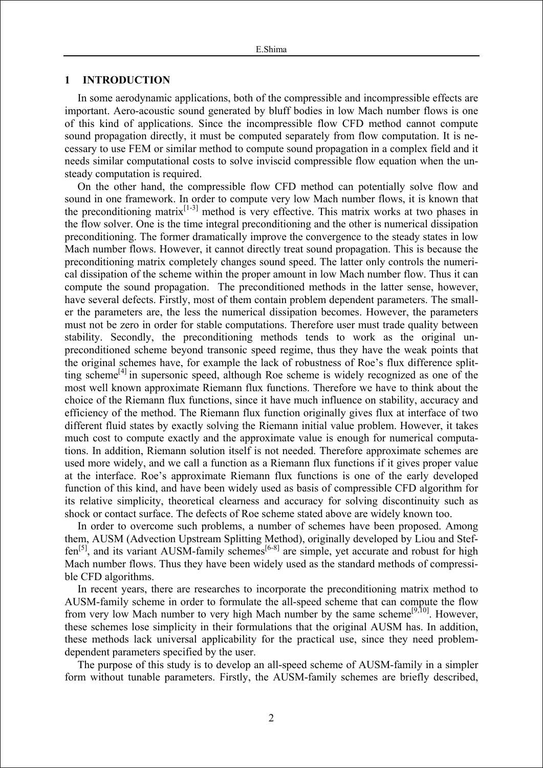### **1 INTRODUCTION**

In some aerodynamic applications, both of the compressible and incompressible effects are important. Aero-acoustic sound generated by bluff bodies in low Mach number flows is one of this kind of applications. Since the incompressible flow CFD method cannot compute sound propagation directly, it must be computed separately from flow computation. It is necessary to use FEM or similar method to compute sound propagation in a complex field and it needs similar computational costs to solve inviscid compressible flow equation when the unsteady computation is required.

On the other hand, the compressible flow CFD method can potentially solve flow and sound in one framework. In order to compute very low Mach number flows, it is known that the preconditioning matrix<sup>[1-3]</sup> method is very effective. This matrix works at two phases in the flow solver. One is the time integral preconditioning and the other is numerical dissipation preconditioning. The former dramatically improve the convergence to the steady states in low Mach number flows. However, it cannot directly treat sound propagation. This is because the preconditioning matrix completely changes sound speed. The latter only controls the numerical dissipation of the scheme within the proper amount in low Mach number flow. Thus it can compute the sound propagation. The preconditioned methods in the latter sense, however, have several defects. Firstly, most of them contain problem dependent parameters. The smaller the parameters are, the less the numerical dissipation becomes. However, the parameters must not be zero in order for stable computations. Therefore user must trade quality between stability. Secondly, the preconditioning methods tends to work as the original unpreconditioned scheme beyond transonic speed regime, thus they have the weak points that the original schemes have, for example the lack of robustness of Roe's flux difference splitting scheme<sup>[4]</sup> in supersonic speed, although Roe scheme is widely recognized as one of the most well known approximate Riemann flux functions. Therefore we have to think about the choice of the Riemann flux functions, since it have much influence on stability, accuracy and efficiency of the method. The Riemann flux function originally gives flux at interface of two different fluid states by exactly solving the Riemann initial value problem. However, it takes much cost to compute exactly and the approximate value is enough for numerical computations. In addition, Riemann solution itself is not needed. Therefore approximate schemes are used more widely, and we call a function as a Riemann flux functions if it gives proper value at the interface. Roe's approximate Riemann flux functions is one of the early developed function of this kind, and have been widely used as basis of compressible CFD algorithm for its relative simplicity, theoretical clearness and accuracy for solving discontinuity such as shock or contact surface. The defects of Roe scheme stated above are widely known too.

In order to overcome such problems, a number of schemes have been proposed. Among them, AUSM (Advection Upstream Splitting Method), originally developed by Liou and Stef $f_{\text{en}}^{[5]}$ , and its variant AUSM-family schemes<sup>[6-8]</sup> are simple, yet accurate and robust for high Mach number flows. Thus they have been widely used as the standard methods of compressible CFD algorithms.

In recent years, there are researches to incorporate the preconditioning matrix method to AUSM-family scheme in order to formulate the all-speed scheme that can compute the flow from very low Mach number to very high Mach number by the same scheme<sup>[9,10]</sup>. However, these schemes lose simplicity in their formulations that the original AUSM has. In addition, these methods lack universal applicability for the practical use, since they need problemdependent parameters specified by the user.

The purpose of this study is to develop an all-speed scheme of AUSM-family in a simpler form without tunable parameters. Firstly, the AUSM-family schemes are briefly described,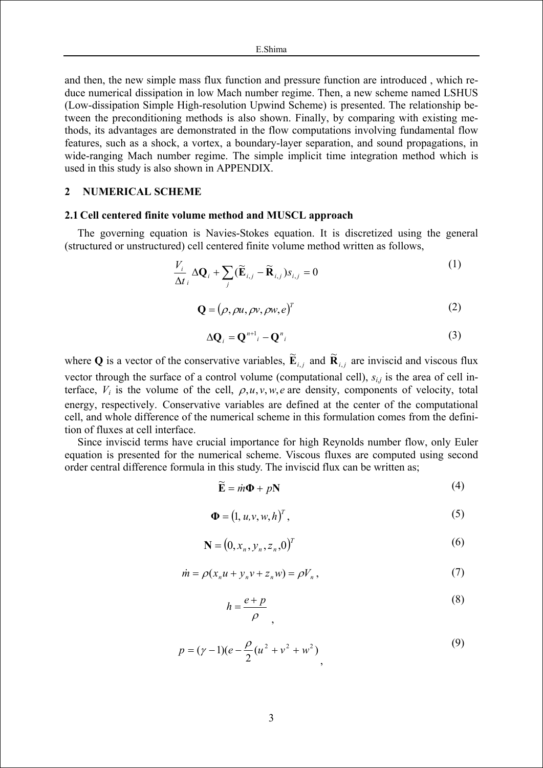and then, the new simple mass flux function and pressure function are introduced , which reduce numerical dissipation in low Mach number regime. Then, a new scheme named LSHUS (Low-dissipation Simple High-resolution Upwind Scheme) is presented. The relationship between the preconditioning methods is also shown. Finally, by comparing with existing methods, its advantages are demonstrated in the flow computations involving fundamental flow features, such as a shock, a vortex, a boundary-layer separation, and sound propagations, in wide-ranging Mach number regime. The simple implicit time integration method which is used in this study is also shown in APPENDIX.

## **2 NUMERICAL SCHEME**

### **2.1 Cell centered finite volume method and MUSCL approach**

The governing equation is Navies-Stokes equation. It is discretized using the general (structured or unstructured) cell centered finite volume method written as follows,

$$
\frac{V_i}{\Delta t_i} \Delta \mathbf{Q}_i + \sum_j (\widetilde{\mathbf{E}}_{i,j} - \widetilde{\mathbf{R}}_{i,j}) s_{i,j} = 0
$$
\n(1)

$$
\mathbf{Q} = (\rho, \rho u, \rho v, \rho w, e)^T
$$
 (2)

$$
\Delta \mathbf{Q}_i = \mathbf{Q}^{n+1}{}_i - \mathbf{Q}^n{}_i \tag{3}
$$

where **Q** is a vector of the conservative variables,  $\tilde{\mathbf{E}}_{i,j}$  and  $\tilde{\mathbf{R}}_{i,j}$  are inviscid and viscous flux vector through the surface of a control volume (computational cell), *si,j* is the area of cell interface,  $V_i$  is the volume of the cell,  $\rho, u, v, w, e$  are density, components of velocity, total energy, respectively. Conservative variables are defined at the center of the computational cell, and whole difference of the numerical scheme in this formulation comes from the definition of fluxes at cell interface.

Since inviscid terms have crucial importance for high Reynolds number flow, only Euler equation is presented for the numerical scheme. Viscous fluxes are computed using second order central difference formula in this study. The inviscid flux can be written as;

$$
\widetilde{\mathbf{E}} = \dot{m}\mathbf{\Phi} + p\mathbf{N} \tag{4}
$$

$$
\mathbf{\Phi} = (1, u, v, w, h)^T, \tag{5}
$$

$$
\mathbf{N} = (0, x_n, y_n, z_n, 0)^T \tag{6}
$$

$$
\dot{m} = \rho(x_n u + y_n v + z_n w) = \rho V_n, \qquad (7)
$$

$$
h = \frac{e + p}{\rho} \tag{8}
$$

$$
p = (\gamma - 1)(e - \frac{\rho}{2}(u^2 + v^2 + w^2))
$$
\n(9)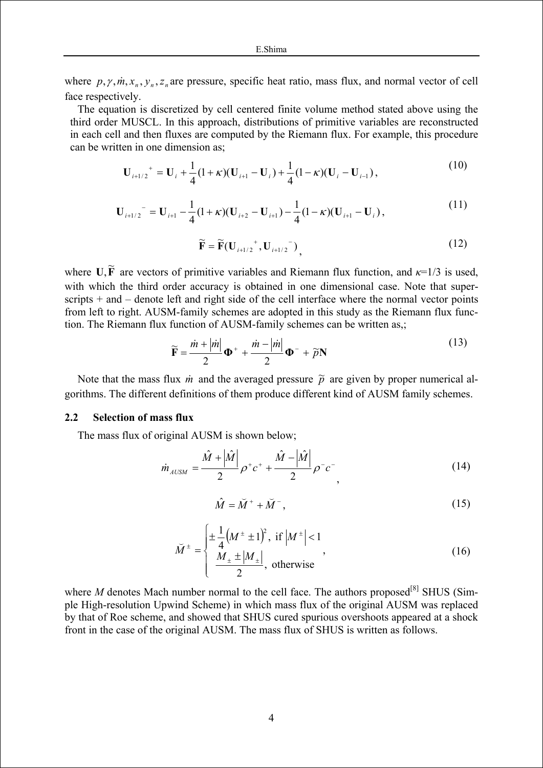where  $p, \gamma, m, x_n, y_n, z_n$  are pressure, specific heat ratio, mass flux, and normal vector of cell face respectively.

The equation is discretized by cell centered finite volume method stated above using the third order MUSCL. In this approach, distributions of primitive variables are reconstructed in each cell and then fluxes are computed by the Riemann flux. For example, this procedure can be written in one dimension as;

$$
\mathbf{U}_{i+1/2}^+ = \mathbf{U}_i + \frac{1}{4} (1+\kappa)(\mathbf{U}_{i+1} - \mathbf{U}_i) + \frac{1}{4} (1-\kappa)(\mathbf{U}_i - \mathbf{U}_{i-1}),
$$
\n(10)

$$
\mathbf{U}_{i+1/2}^{\top} = \mathbf{U}_{i+1} - \frac{1}{4} (1+\kappa) (\mathbf{U}_{i+2} - \mathbf{U}_{i+1}) - \frac{1}{4} (1-\kappa) (\mathbf{U}_{i+1} - \mathbf{U}_{i}), \qquad (11)
$$

$$
\widetilde{\mathbf{F}} = \widetilde{\mathbf{F}}(\mathbf{U}_{i+1/2}^+, \mathbf{U}_{i+1/2}^-), \tag{12}
$$

where  $\mathbf{U}, \widetilde{\mathbf{F}}$  are vectors of primitive variables and Riemann flux function, and  $\kappa = 1/3$  is used, with which the third order accuracy is obtained in one dimensional case. Note that superscripts + and – denote left and right side of the cell interface where the normal vector points from left to right. AUSM-family schemes are adopted in this study as the Riemann flux function. The Riemann flux function of AUSM-family schemes can be written as,;

$$
\widetilde{\mathbf{F}} = \frac{\dot{m} + |\dot{m}|}{2} \mathbf{\Phi}^+ + \frac{\dot{m} - |\dot{m}|}{2} \mathbf{\Phi}^- + \widetilde{p}\mathbf{N}
$$
\n(13)

Note that the mass flux  $\dot{m}$  and the averaged pressure  $\tilde{p}$  are given by proper numerical algorithms. The different definitions of them produce different kind of AUSM family schemes.

### **2.2 Selection of mass flux**

The mass flux of original AUSM is shown below;

$$
\dot{m}_{AUSM} = \frac{\hat{M} + |\hat{M}|}{2} \rho^+ c^+ + \frac{\hat{M} - |\hat{M}|}{2} \rho^- c^-
$$
\n(14)

$$
\hat{M} = \breve{M}^+ + \breve{M}^-, \tag{15}
$$

$$
\widetilde{M}^{\pm} = \begin{cases}\n\pm \frac{1}{4} \left( M^{\pm} \pm 1 \right)^2, & \text{if } \left| M^{\pm} \right| < 1 \\
\frac{M_{\pm} \pm |M_{\pm}|}{2}, & \text{otherwise}\n\end{cases}
$$
\n(16)

where  $M$  denotes Mach number normal to the cell face. The authors proposed<sup>[8]</sup> SHUS (Simple High-resolution Upwind Scheme) in which mass flux of the original AUSM was replaced by that of Roe scheme, and showed that SHUS cured spurious overshoots appeared at a shock front in the case of the original AUSM. The mass flux of SHUS is written as follows.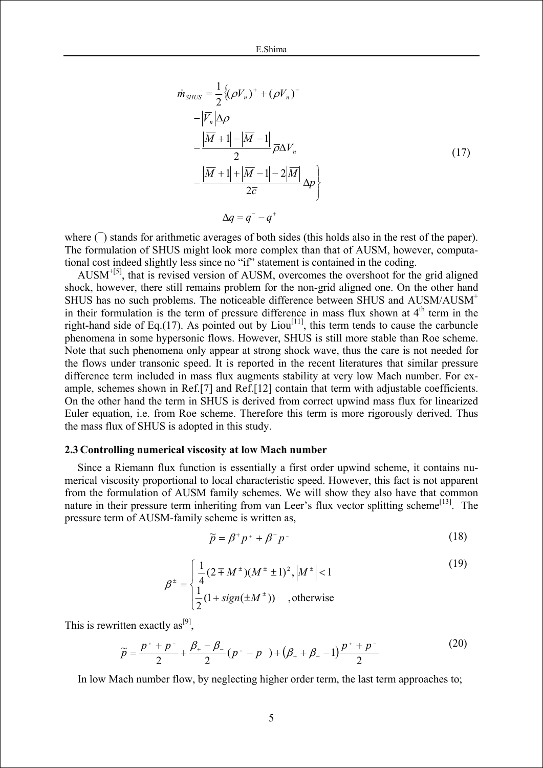$$
\dot{m}_{SHUS} = \frac{1}{2} \{ (\rho V_n)^+ + (\rho V_n)^- - |\overline{V}_n| \Delta \rho
$$
  
\n
$$
- \frac{|\overline{M} + 1| - |\overline{M} - 1|}{2} \overline{\rho} \Delta V_n - \frac{|\overline{M} + 1| + |\overline{M} - 1| - 2|\overline{M}|}{2\overline{c}} \Delta p \}
$$
\n
$$
\Delta q = q^- - q^+
$$
\n(17)

where  $\bigcap$  stands for arithmetic averages of both sides (this holds also in the rest of the paper). The formulation of SHUS might look more complex than that of AUSM, however, computational cost indeed slightly less since no "if" statement is contained in the coding.

AUSM+[5], that is revised version of AUSM, overcomes the overshoot for the grid aligned shock, however, there still remains problem for the non-grid aligned one. On the other hand SHUS has no such problems. The noticeable difference between SHUS and AUSM/AUSM<sup>+</sup> in their formulation is the term of pressure difference in mass flux shown at  $4<sup>th</sup>$  term in the right-hand side of Eq.(17). As pointed out by  $Liou<sup>[11]</sup>$ , this term tends to cause the carbuncle phenomena in some hypersonic flows. However, SHUS is still more stable than Roe scheme. Note that such phenomena only appear at strong shock wave, thus the care is not needed for the flows under transonic speed. It is reported in the recent literatures that similar pressure difference term included in mass flux augments stability at very low Mach number. For example, schemes shown in Ref.[7] and Ref.[12] contain that term with adjustable coefficients. On the other hand the term in SHUS is derived from correct upwind mass flux for linearized Euler equation, i.e. from Roe scheme. Therefore this term is more rigorously derived. Thus the mass flux of SHUS is adopted in this study.

#### **2.3 Controlling numerical viscosity at low Mach number**

Since a Riemann flux function is essentially a first order upwind scheme, it contains numerical viscosity proportional to local characteristic speed. However, this fact is not apparent from the formulation of AUSM family schemes. We will show they also have that common nature in their pressure term inheriting from van Leer's flux vector splitting scheme<sup>[13]</sup>. The pressure term of AUSM-family scheme is written as,

$$
\widetilde{p} = \beta^+ p^+ + \beta^- p^- \tag{18}
$$

$$
\beta^{\pm} = \begin{cases} \frac{1}{4} (2 \mp M^{\pm})(M^{\pm} \pm 1)^{2}, |M^{\pm}| < 1\\ \frac{1}{2} (1 + sign(\pm M^{\pm})) , \text{otherwise} \end{cases}
$$
(19)

This is rewritten exactly  $as^{[9]}$ .

$$
\widetilde{p} = \frac{p^+ + p^-}{2} + \frac{\beta_+ - \beta_-}{2} (p^+ - p^-) + (\beta_+ + \beta_- - 1) \frac{p^+ + p^-}{2}
$$
\n(20)

In low Mach number flow, by neglecting higher order term, the last term approaches to;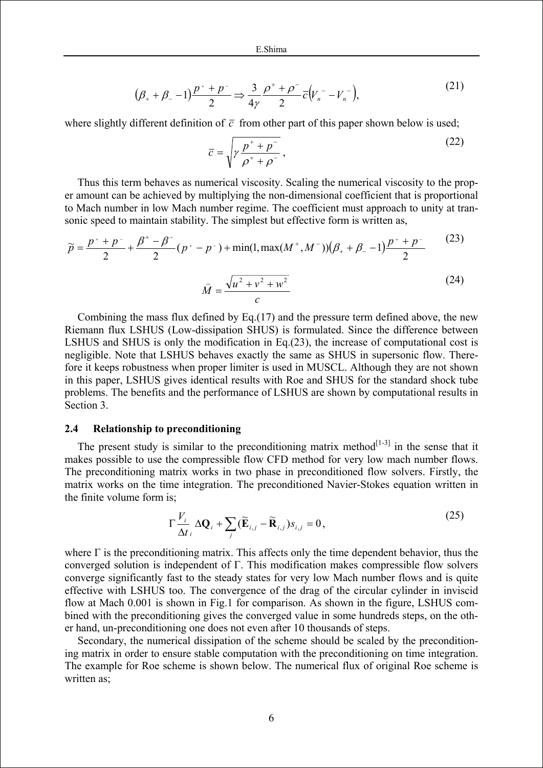$$
(\beta_+ + \beta_- - 1)\frac{p^+ + p^-}{2} \Rightarrow \frac{3}{4\gamma} \frac{\rho^+ + \rho^-}{2} \overline{c} (V_n^- - V_n^-), \tag{21}
$$

where slightly different definition of  $\bar{c}$  from other part of this paper shown below is used;

$$
\overline{c} = \sqrt{\gamma \frac{p^+ + p^-}{\rho^+ + \rho^-}},\tag{22}
$$

Thus this term behaves as numerical viscosity. Scaling the numerical viscosity to the proper amount can be achieved by multiplying the non-dimensional coefficient that is proportional to Mach number in low Mach number regime. The coefficient must approach to unity at transonic speed to maintain stability. The simplest but effective form is written as,

$$
\widetilde{p} = \frac{p^+ + p^-}{2} + \frac{\beta^+ - \beta^-}{2} (p^+ - p^-) + \min(1, \max(M^+, M^-)) (\beta_+ + \beta_- - 1) \frac{p^+ + p^-}{2}
$$
(23)  

$$
\widehat{M} = \frac{\sqrt{u^2 + v^2 + w^2}}{c}
$$
(24)

Combining the mass flux defined by Eq.(17) and the pressure term defined above, the new Riemann flux LSHUS (Low-dissipation SHUS) is formulated. Since the difference between LSHUS and SHUS is only the modification in Eq.(23), the increase of computational cost is negligible. Note that LSHUS behaves exactly the same as SHUS in supersonic flow. Therefore it keeps robustness when proper limiter is used in MUSCL. Although they are not shown in this paper, LSHUS gives identical results with Roe and SHUS for the standard shock tube problems. The benefits and the performance of LSHUS are shown by computational results in Section 3.

### **2.4 Relationship to preconditioning**

The present study is similar to the preconditioning matrix method $[1-3]$  in the sense that it makes possible to use the compressible flow CFD method for very low mach number flows. The preconditioning matrix works in two phase in preconditioned flow solvers. Firstly, the matrix works on the time integration. The preconditioned Navier-Stokes equation written in the finite volume form is;

$$
\Gamma \frac{V_i}{\Delta t_i} \Delta \mathbf{Q}_i + \sum_j (\widetilde{\mathbf{E}}_{i,j} - \widetilde{\mathbf{R}}_{i,j}) s_{i,j} = 0, \qquad (25)
$$

where  $\Gamma$  is the preconditioning matrix. This affects only the time dependent behavior, thus the converged solution is independent of Γ. This modification makes compressible flow solvers converge significantly fast to the steady states for very low Mach number flows and is quite effective with LSHUS too. The convergence of the drag of the circular cylinder in inviscid flow at Mach 0.001 is shown in Fig.1 for comparison. As shown in the figure, LSHUS combined with the preconditioning gives the converged value in some hundreds steps, on the other hand, un-preconditioning one does not even after 10 thousands of steps.

Secondary, the numerical dissipation of the scheme should be scaled by the preconditioning matrix in order to ensure stable computation with the preconditioning on time integration. The example for Roe scheme is shown below. The numerical flux of original Roe scheme is written as: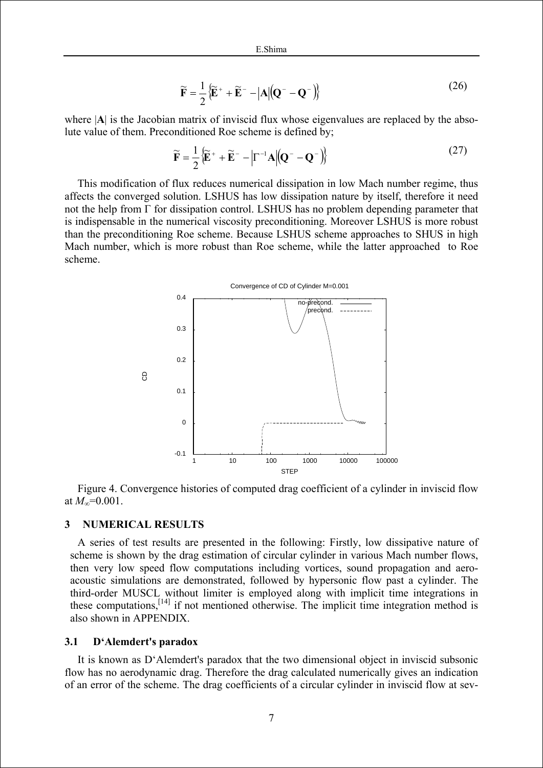$$
\widetilde{\mathbf{F}} = \frac{1}{2} \left\{ \widetilde{\mathbf{E}}^+ + \widetilde{\mathbf{E}}^- - |\mathbf{A}| (\mathbf{Q}^- - \mathbf{Q}^-) \right\}
$$
\n(26)

where  $|A|$  is the Jacobian matrix of inviscid flux whose eigenvalues are replaced by the absolute value of them. Preconditioned Roe scheme is defined by;

$$
\widetilde{\mathbf{F}} = \frac{1}{2} \left\{ \widetilde{\mathbf{E}}^+ + \widetilde{\mathbf{E}}^- - \left| \Gamma^{-1} \mathbf{A} \right| \left( \mathbf{Q}^- - \mathbf{Q}^- \right) \right\}
$$
(27)

This modification of flux reduces numerical dissipation in low Mach number regime, thus affects the converged solution. LSHUS has low dissipation nature by itself, therefore it need not the help from Γ for dissipation control. LSHUS has no problem depending parameter that is indispensable in the numerical viscosity preconditioning. Moreover LSHUS is more robust than the preconditioning Roe scheme. Because LSHUS scheme approaches to SHUS in high Mach number, which is more robust than Roe scheme, while the latter approached to Roe scheme.



Figure 4. Convergence histories of computed drag coefficient of a cylinder in inviscid flow at  $M_{\infty}$ =0.001.

## **3 NUMERICAL RESULTS**

A series of test results are presented in the following: Firstly, low dissipative nature of scheme is shown by the drag estimation of circular cylinder in various Mach number flows, then very low speed flow computations including vortices, sound propagation and aeroacoustic simulations are demonstrated, followed by hypersonic flow past a cylinder. The third-order MUSCL without limiter is employed along with implicit time integrations in these computations,[14] if not mentioned otherwise. The implicit time integration method is also shown in APPENDIX.

#### **3.1 D'Alemdert's paradox**

It is known as D'Alemdert's paradox that the two dimensional object in inviscid subsonic flow has no aerodynamic drag. Therefore the drag calculated numerically gives an indication of an error of the scheme. The drag coefficients of a circular cylinder in inviscid flow at sev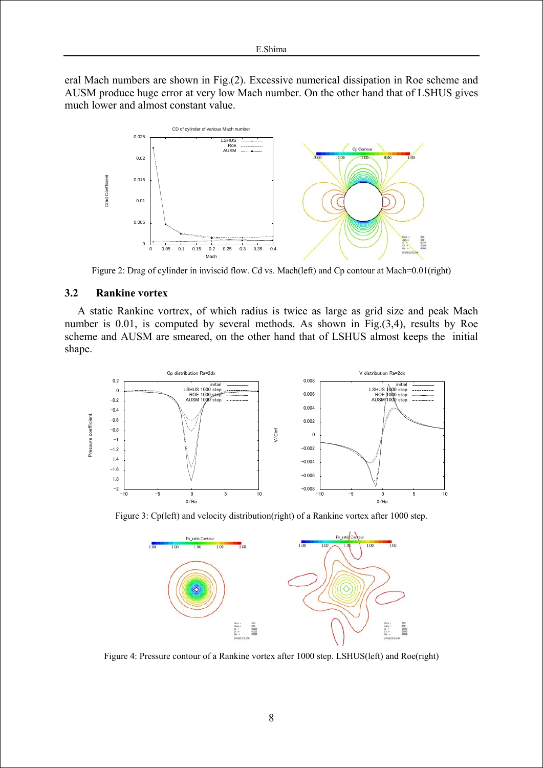eral Mach numbers are shown in Fig.(2). Excessive numerical dissipation in Roe scheme and AUSM produce huge error at very low Mach number. On the other hand that of LSHUS gives much lower and almost constant value.



Figure 2: Drag of cylinder in inviscid flow. Cd vs. Mach(left) and Cp contour at Mach=0.01(right)

### **3.2 Rankine vortex**

A static Rankine vortrex, of which radius is twice as large as grid size and peak Mach number is 0.01, is computed by several methods. As shown in Fig.(3,4), results by Roe scheme and AUSM are smeared, on the other hand that of LSHUS almost keeps the initial shape.



Figure 3: Cp(left) and velocity distribution(right) of a Rankine vortex after 1000 step.



Figure 4: Pressure contour of a Rankine vortex after 1000 step. LSHUS(left) and Roe(right)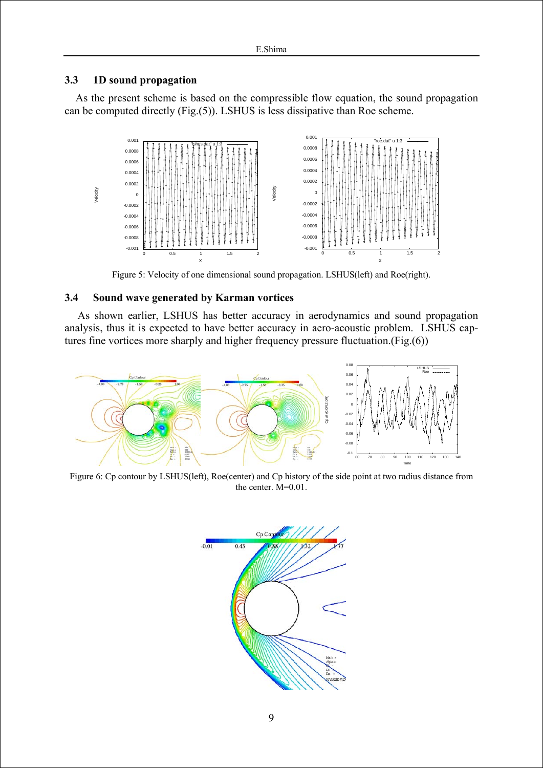# **3.3 1D sound propagation**

 As the present scheme is based on the compressible flow equation, the sound propagation can be computed directly (Fig.(5)). LSHUS is less dissipative than Roe scheme.



Figure 5: Velocity of one dimensional sound propagation. LSHUS(left) and Roe(right).

# **3.4 Sound wave generated by Karman vortices**

As shown earlier, LSHUS has better accuracy in aerodynamics and sound propagation analysis, thus it is expected to have better accuracy in aero-acoustic problem. LSHUS captures fine vortices more sharply and higher frequency pressure fluctuation.(Fig.(6))



Figure 6: Cp contour by LSHUS(left), Roe(center) and Cp history of the side point at two radius distance from the center. M=0.01.

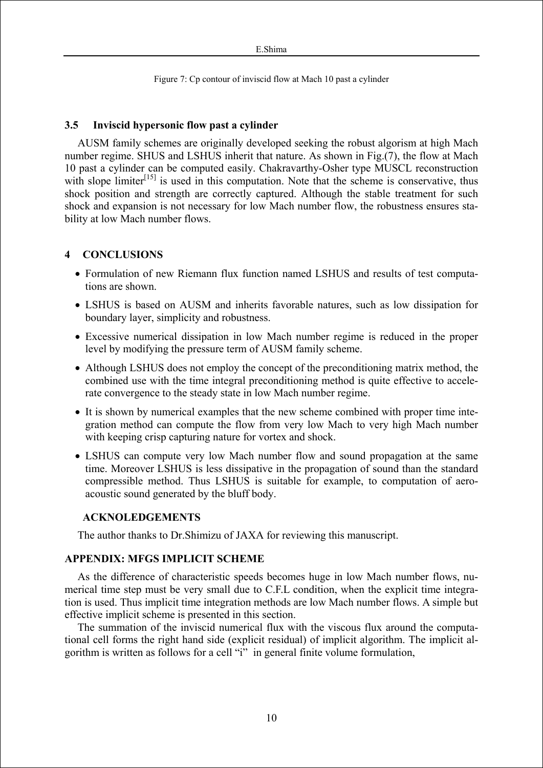Figure 7: Cp contour of inviscid flow at Mach 10 past a cylinder

## **3.5 Inviscid hypersonic flow past a cylinder**

AUSM family schemes are originally developed seeking the robust algorism at high Mach number regime. SHUS and LSHUS inherit that nature. As shown in Fig.(7), the flow at Mach 10 past a cylinder can be computed easily. Chakravarthy-Osher type MUSCL reconstruction with slope limiter $\left[15\right]$  is used in this computation. Note that the scheme is conservative, thus shock position and strength are correctly captured. Although the stable treatment for such shock and expansion is not necessary for low Mach number flow, the robustness ensures stability at low Mach number flows.

# **4 CONCLUSIONS**

- Formulation of new Riemann flux function named LSHUS and results of test computations are shown.
- LSHUS is based on AUSM and inherits favorable natures, such as low dissipation for boundary layer, simplicity and robustness.
- Excessive numerical dissipation in low Mach number regime is reduced in the proper level by modifying the pressure term of AUSM family scheme.
- Although LSHUS does not employ the concept of the preconditioning matrix method, the combined use with the time integral preconditioning method is quite effective to accelerate convergence to the steady state in low Mach number regime.
- It is shown by numerical examples that the new scheme combined with proper time integration method can compute the flow from very low Mach to very high Mach number with keeping crisp capturing nature for vortex and shock.
- LSHUS can compute very low Mach number flow and sound propagation at the same time. Moreover LSHUS is less dissipative in the propagation of sound than the standard compressible method. Thus LSHUS is suitable for example, to computation of aeroacoustic sound generated by the bluff body.

## **ACKNOLEDGEMENTS**

The author thanks to Dr.Shimizu of JAXA for reviewing this manuscript.

# **APPENDIX: MFGS IMPLICIT SCHEME**

As the difference of characteristic speeds becomes huge in low Mach number flows, numerical time step must be very small due to C.F.L condition, when the explicit time integration is used. Thus implicit time integration methods are low Mach number flows. A simple but effective implicit scheme is presented in this section.

The summation of the inviscid numerical flux with the viscous flux around the computational cell forms the right hand side (explicit residual) of implicit algorithm. The implicit algorithm is written as follows for a cell "i" in general finite volume formulation,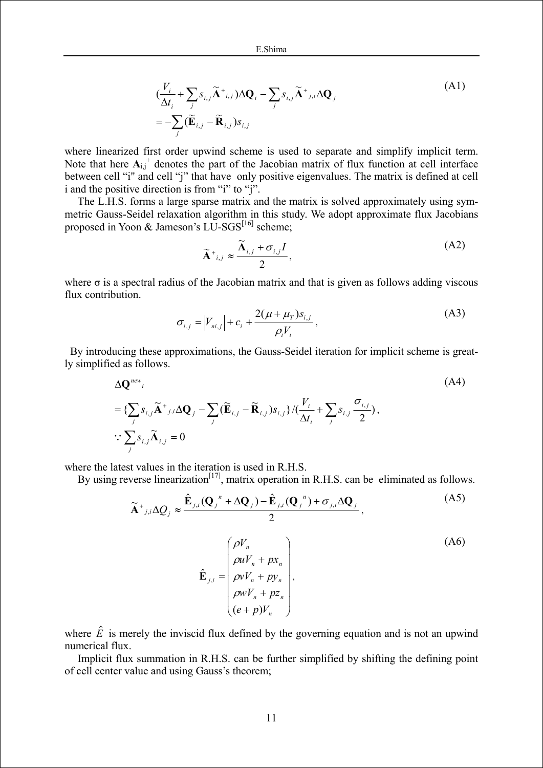$$
\begin{aligned}\n &\left(\frac{V_i}{\Delta t_i} + \sum_j s_{i,j} \widetilde{\mathbf{A}}^*_{i,j}\right) \Delta \mathbf{Q}_i - \sum_j s_{i,j} \widetilde{\mathbf{A}}^*_{j,i} \Delta \mathbf{Q}_j \\
 &= -\sum_j (\widetilde{\mathbf{E}}_{i,j} - \widetilde{\mathbf{R}}_{i,j}) s_{i,j}\n \end{aligned}\n \tag{A1}
$$

where linearized first order upwind scheme is used to separate and simplify implicit term. Note that here  $A_{i,j}$ <sup>+</sup> denotes the part of the Jacobian matrix of flux function at cell interface between cell "i" and cell "j" that have only positive eigenvalues. The matrix is defined at cell i and the positive direction is from "i" to "j".

The L.H.S. forms a large sparse matrix and the matrix is solved approximately using symmetric Gauss-Seidel relaxation algorithm in this study. We adopt approximate flux Jacobians proposed in Yoon & Jameson's  $LU-SGS^{[16]}$  scheme;

$$
\widetilde{\mathbf{A}}^{+}_{i,j} \approx \frac{\widetilde{\mathbf{A}}_{i,j} + \sigma_{i,j}I}{2},\tag{A2}
$$

where  $\sigma$  is a spectral radius of the Jacobian matrix and that is given as follows adding viscous flux contribution.

$$
\sigma_{i,j} = |V_{ni,j}| + c_i + \frac{2(\mu + \mu_T) s_{i,j}}{\rho_i V_i},
$$
\n(A3)

By introducing these approximations, the Gauss-Seidel iteration for implicit scheme is greatly simplified as follows.

$$
\Delta \mathbf{Q}^{new}_{i}
$$
\n
$$
= \{ \sum_{j} s_{i,j} \widetilde{\mathbf{A}}^{+}{}_{j,i} \Delta \mathbf{Q}_{j} - \sum_{j} (\widetilde{\mathbf{E}}_{i,j} - \widetilde{\mathbf{R}}_{i,j}) s_{i,j} \} / (\frac{V_{i}}{\Delta t_{i}} + \sum_{j} s_{i,j} \frac{\sigma_{i,j}}{2}),
$$
\n
$$
\therefore \sum_{j} s_{i,j} \widetilde{\mathbf{A}}_{i,j} = 0
$$
\n
$$
(A4)
$$

where the latest values in the iteration is used in R.H.S.

By using reverse linearization<sup>[17]</sup>, matrix operation in R.H.S. can be eliminated as follows.

$$
\widetilde{\mathbf{A}}^{+}{}_{j,i}\Delta Q_{j} \approx \frac{\hat{\mathbf{E}}_{j,i}(\mathbf{Q}_{j}^{n} + \Delta \mathbf{Q}_{j}) - \hat{\mathbf{E}}_{j,i}(\mathbf{Q}_{j}^{n}) + \sigma_{j,i}\Delta \mathbf{Q}_{j}}{2},
$$
\n(A5)\n
$$
\hat{\mathbf{E}}_{j,i} = \begin{pmatrix}\n\rho V_{n} & & \\
\rho u V_{n} + p x_{n} & \\
\rho v V_{n} + p y_{n} & \\
\rho w V_{n} + p z_{n} & \\
(e + p) V_{n}\n\end{pmatrix},
$$
\n(A6)

where  $\hat{E}$  is merely the inviscid flux defined by the governing equation and is not an upwind numerical flux.

Implicit flux summation in R.H.S. can be further simplified by shifting the defining point of cell center value and using Gauss's theorem;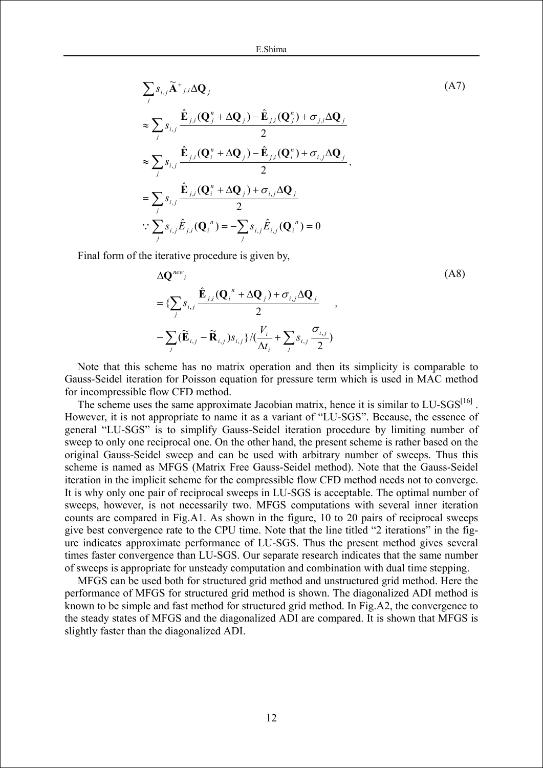$$
\sum_{j} s_{i,j} \widetilde{\mathbf{A}}^{+}{}_{j,i} \Delta \mathbf{Q}_{j}
$$
\n
$$
\approx \sum_{j} s_{i,j} \frac{\hat{\mathbf{E}}_{j,i} (\mathbf{Q}_{j}^{n} + \Delta \mathbf{Q}_{j}) - \hat{\mathbf{E}}_{j,i} (\mathbf{Q}_{j}^{n}) + \sigma_{j,i} \Delta \mathbf{Q}_{j}}{2}
$$
\n
$$
\approx \sum_{j} s_{i,j} \frac{\hat{\mathbf{E}}_{j,i} (\mathbf{Q}_{i}^{n} + \Delta \mathbf{Q}_{j}) - \hat{\mathbf{E}}_{j,i} (\mathbf{Q}_{i}^{n}) + \sigma_{i,j} \Delta \mathbf{Q}_{j}}{2},
$$
\n
$$
= \sum_{j} s_{i,j} \frac{\hat{\mathbf{E}}_{j,i} (\mathbf{Q}_{i}^{n} + \Delta \mathbf{Q}_{j}) + \sigma_{i,j} \Delta \mathbf{Q}_{j}}{2}
$$
\n
$$
\therefore \sum_{j} s_{i,j} \hat{\mathbf{E}}_{j,i} (\mathbf{Q}_{i}^{n}) = -\sum_{j} s_{i,j} \hat{\mathbf{E}}_{i,j} (\mathbf{Q}_{i}^{n}) = 0
$$
\n(47)

Final form of the iterative procedure is given by,

$$
\Delta \mathbf{Q}^{new}_{i} = \left\{ \sum_{j} s_{i,j} \frac{\hat{\mathbf{E}}_{j,i} (\mathbf{Q}_{i}^{\ n} + \Delta \mathbf{Q}_{j}) + \sigma_{i,j} \Delta \mathbf{Q}_{j}}{2} \right. \\
\left. - \sum_{j} (\widetilde{\mathbf{E}}_{i,j} - \widetilde{\mathbf{R}}_{i,j}) s_{i,j} \right\} / (\frac{V_{i}}{\Delta t_{i}} + \sum_{j} s_{i,j} \frac{\sigma_{i,j}}{2})
$$
\n(A8)

Note that this scheme has no matrix operation and then its simplicity is comparable to Gauss-Seidel iteration for Poisson equation for pressure term which is used in MAC method for incompressible flow CFD method.

The scheme uses the same approximate Jacobian matrix, hence it is similar to LU-SGS<sup>[16]</sup>. However, it is not appropriate to name it as a variant of "LU-SGS". Because, the essence of general "LU-SGS" is to simplify Gauss-Seidel iteration procedure by limiting number of sweep to only one reciprocal one. On the other hand, the present scheme is rather based on the original Gauss-Seidel sweep and can be used with arbitrary number of sweeps. Thus this scheme is named as MFGS (Matrix Free Gauss-Seidel method). Note that the Gauss-Seidel iteration in the implicit scheme for the compressible flow CFD method needs not to converge. It is why only one pair of reciprocal sweeps in LU-SGS is acceptable. The optimal number of sweeps, however, is not necessarily two. MFGS computations with several inner iteration counts are compared in Fig.A1. As shown in the figure, 10 to 20 pairs of reciprocal sweeps give best convergence rate to the CPU time. Note that the line titled "2 iterations" in the figure indicates approximate performance of LU-SGS. Thus the present method gives several times faster convergence than LU-SGS. Our separate research indicates that the same number of sweeps is appropriate for unsteady computation and combination with dual time stepping.

MFGS can be used both for structured grid method and unstructured grid method. Here the performance of MFGS for structured grid method is shown. The diagonalized ADI method is known to be simple and fast method for structured grid method. In Fig.A2, the convergence to the steady states of MFGS and the diagonalized ADI are compared. It is shown that MFGS is slightly faster than the diagonalized ADI.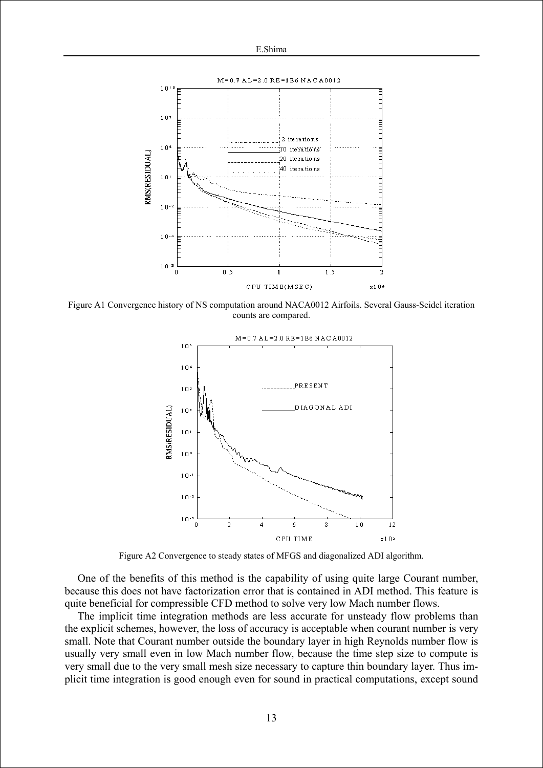

Figure A1 Convergence history of NS computation around NACA0012 Airfoils. Several Gauss-Seidel iteration counts are compared.



Figure A2 Convergence to steady states of MFGS and diagonalized ADI algorithm.

One of the benefits of this method is the capability of using quite large Courant number, because this does not have factorization error that is contained in ADI method. This feature is quite beneficial for compressible CFD method to solve very low Mach number flows.

The implicit time integration methods are less accurate for unsteady flow problems than the explicit schemes, however, the loss of accuracy is acceptable when courant number is very small. Note that Courant number outside the boundary layer in high Reynolds number flow is usually very small even in low Mach number flow, because the time step size to compute is very small due to the very small mesh size necessary to capture thin boundary layer. Thus implicit time integration is good enough even for sound in practical computations, except sound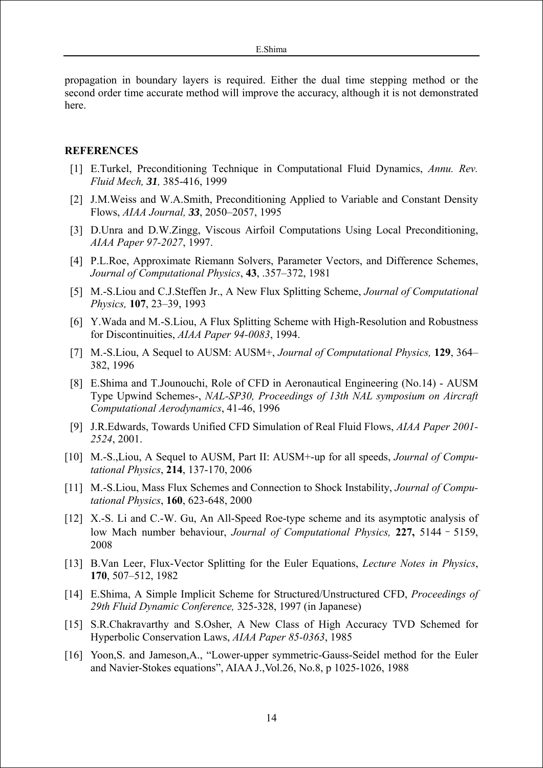propagation in boundary layers is required. Either the dual time stepping method or the second order time accurate method will improve the accuracy, although it is not demonstrated here.

### **REFERENCES**

- [1] E.Turkel, Preconditioning Technique in Computational Fluid Dynamics, *Annu. Rev. Fluid Mech, 31,* 385-416, 1999
- [2] J.M.Weiss and W.A.Smith, Preconditioning Applied to Variable and Constant Density Flows, *AIAA Journal, 33*, 2050–2057, 1995
- [3] D.Unra and D.W.Zingg, Viscous Airfoil Computations Using Local Preconditioning, *AIAA Paper 97-2027*, 1997.
- [4] P.L.Roe, Approximate Riemann Solvers, Parameter Vectors, and Difference Schemes, *Journal of Computational Physics*, **43**, .357–372, 1981
- [5] M.-S.Liou and C.J.Steffen Jr., A New Flux Splitting Scheme, *Journal of Computational Physics,* **107**, 23–39, 1993
- [6] Y.Wada and M.-S.Liou, A Flux Splitting Scheme with High-Resolution and Robustness for Discontinuities, *AIAA Paper 94-0083*, 1994.
- [7] M.-S.Liou, A Sequel to AUSM: AUSM+, *Journal of Computational Physics,* **129**, 364– 382, 1996
- [8] E.Shima and T.Jounouchi, Role of CFD in Aeronautical Engineering (No.14) AUSM Type Upwind Schemes-, *NAL-SP30, Proceedings of 13th NAL symposium on Aircraft Computational Aerodynamics*, 41-46, 1996
- [9] J.R.Edwards, Towards Unified CFD Simulation of Real Fluid Flows, *AIAA Paper 2001- 2524*, 2001.
- [10] M.-S.,Liou, A Sequel to AUSM, Part II: AUSM+-up for all speeds, *Journal of Computational Physics*, **214**, 137-170, 2006
- [11] M.-S.Liou, Mass Flux Schemes and Connection to Shock Instability, *Journal of Computational Physics*, **160**, 623-648, 2000
- [12] X.-S. Li and C.-W. Gu, An All-Speed Roe-type scheme and its asymptotic analysis of low Mach number behaviour, *Journal of Computational Physics,* **227,** 5144–5159, 2008
- [13] B.Van Leer, Flux-Vector Splitting for the Euler Equations, *Lecture Notes in Physics*, **170**, 507–512, 1982
- [14] E.Shima, A Simple Implicit Scheme for Structured/Unstructured CFD, *Proceedings of 29th Fluid Dynamic Conference,* 325-328, 1997 (in Japanese)
- [15] S.R.Chakravarthy and S.Osher, A New Class of High Accuracy TVD Schemed for Hyperbolic Conservation Laws, *AIAA Paper 85-0363*, 1985
- [16] Yoon, S. and Jameson, A., "Lower-upper symmetric-Gauss-Seidel method for the Euler and Navier-Stokes equations", AIAA J.,Vol.26, No.8, p 1025-1026, 1988